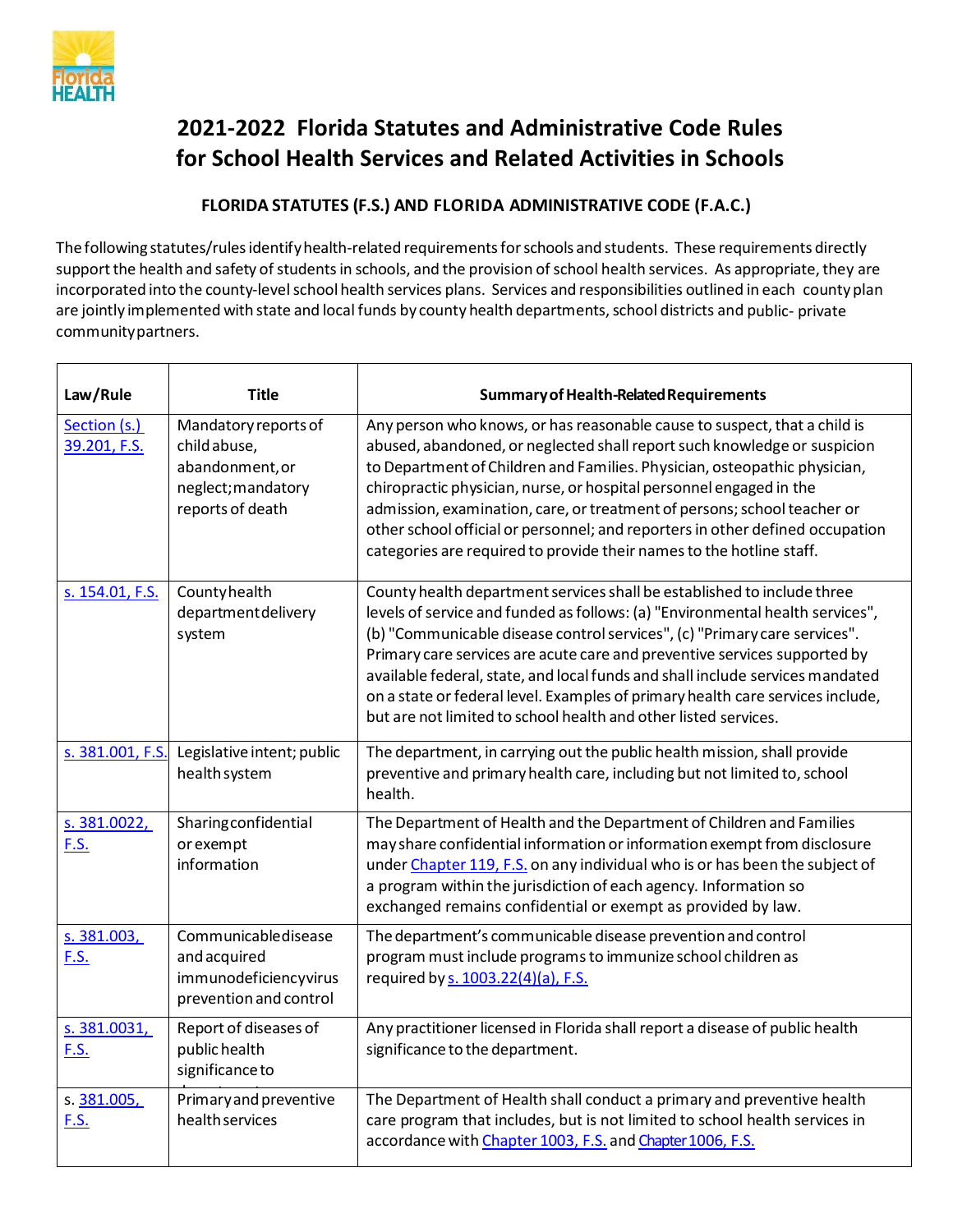

## **2021-2022 Florida Statutes and Administrative Code Rules for School Health Services and Related Activities in Schools**

## **FLORIDA STATUTES (F.S.) AND FLORIDA ADMINISTRATIVE CODE (F.A.C.)**

The following statutes/rules identify health-related requirements for schools and students. These requirements directly support the health and safety of students in schools, and the provision of school health services. As appropriate, they are incorporated into the county-level school health services plans. Services and responsibilities outlined in each county plan are jointly implemented with state and local funds by county health departments, school districts and public- private communitypartners.

| Law/Rule                     | <b>Title</b>                                                                                      | Summary of Health-Related Requirements                                                                                                                                                                                                                                                                                                                                                                                                                                                                                                                   |
|------------------------------|---------------------------------------------------------------------------------------------------|----------------------------------------------------------------------------------------------------------------------------------------------------------------------------------------------------------------------------------------------------------------------------------------------------------------------------------------------------------------------------------------------------------------------------------------------------------------------------------------------------------------------------------------------------------|
| Section (s.)<br>39.201, F.S. | Mandatory reports of<br>child abuse,<br>abandonment, or<br>neglect; mandatory<br>reports of death | Any person who knows, or has reasonable cause to suspect, that a child is<br>abused, abandoned, or neglected shall report such knowledge or suspicion<br>to Department of Children and Families. Physician, osteopathic physician,<br>chiropractic physician, nurse, or hospital personnel engaged in the<br>admission, examination, care, or treatment of persons; school teacher or<br>other school official or personnel; and reporters in other defined occupation<br>categories are required to provide their names to the hotline staff.           |
| s. 154.01, F.S.              | Countyhealth<br>department delivery<br>system                                                     | County health department services shall be established to include three<br>levels of service and funded as follows: (a) "Environmental health services",<br>(b) "Communicable disease control services", (c) "Primary care services".<br>Primary care services are acute care and preventive services supported by<br>available federal, state, and local funds and shall include services mandated<br>on a state or federal level. Examples of primary health care services include,<br>but are not limited to school health and other listed services. |
| s. 381.001, F.S.             | Legislative intent; public<br>health system                                                       | The department, in carrying out the public health mission, shall provide<br>preventive and primary health care, including but not limited to, school<br>health.                                                                                                                                                                                                                                                                                                                                                                                          |
| s. 381.0022,<br>F.S.         | Sharingconfidential<br>or exempt<br>information                                                   | The Department of Health and the Department of Children and Families<br>may share confidential information or information exempt from disclosure<br>under Chapter 119, F.S. on any individual who is or has been the subject of<br>a program within the jurisdiction of each agency. Information so<br>exchanged remains confidential or exempt as provided by law.                                                                                                                                                                                      |
| s. 381.003,<br>F.S.          | Communicabledisease<br>and acquired<br>immunodeficiencyvirus<br>prevention and control            | The department's communicable disease prevention and control<br>program must include programs to immunize school children as<br>required by s. 1003.22(4)(a), F.S.                                                                                                                                                                                                                                                                                                                                                                                       |
| s. 381.0031,<br>F.S.         | Report of diseases of<br>public health<br>significance to                                         | Any practitioner licensed in Florida shall report a disease of public health<br>significance to the department.                                                                                                                                                                                                                                                                                                                                                                                                                                          |
| s. 381.005,<br><u>F.S.</u>   | Primary and preventive<br>health services                                                         | The Department of Health shall conduct a primary and preventive health<br>care program that includes, but is not limited to school health services in<br>accordance with Chapter 1003, F.S. and Chapter 1006, F.S.                                                                                                                                                                                                                                                                                                                                       |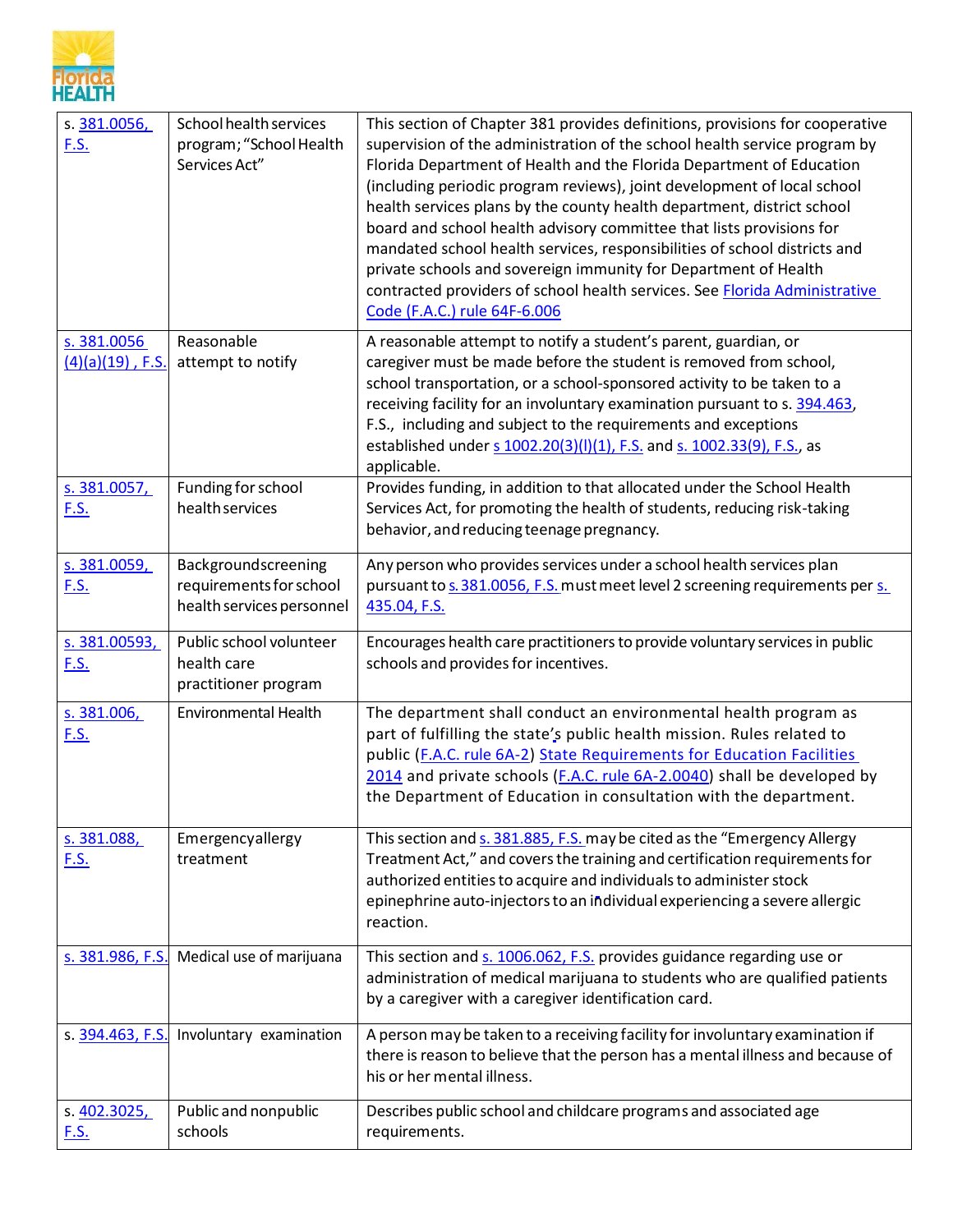

| s. 381.0056,<br><u>F.S.</u>        | School health services<br>program; "School Health<br>Services Act"          | This section of Chapter 381 provides definitions, provisions for cooperative<br>supervision of the administration of the school health service program by<br>Florida Department of Health and the Florida Department of Education<br>(including periodic program reviews), joint development of local school<br>health services plans by the county health department, district school<br>board and school health advisory committee that lists provisions for<br>mandated school health services, responsibilities of school districts and<br>private schools and sovereign immunity for Department of Health<br>contracted providers of school health services. See Florida Administrative<br>Code (F.A.C.) rule 64F-6.006 |
|------------------------------------|-----------------------------------------------------------------------------|------------------------------------------------------------------------------------------------------------------------------------------------------------------------------------------------------------------------------------------------------------------------------------------------------------------------------------------------------------------------------------------------------------------------------------------------------------------------------------------------------------------------------------------------------------------------------------------------------------------------------------------------------------------------------------------------------------------------------|
| s. 381.0056<br>$(4)(a)(19)$ , F.S. | Reasonable<br>attempt to notify                                             | A reasonable attempt to notify a student's parent, guardian, or<br>caregiver must be made before the student is removed from school,<br>school transportation, or a school-sponsored activity to be taken to a<br>receiving facility for an involuntary examination pursuant to s. 394.463,<br>F.S., including and subject to the requirements and exceptions<br>established under s 1002.20(3)(I)(1), F.S. and s. 1002.33(9), F.S., as<br>applicable.                                                                                                                                                                                                                                                                       |
| s. 381.0057,<br><u>F.S.</u>        | Funding for school<br>health services                                       | Provides funding, in addition to that allocated under the School Health<br>Services Act, for promoting the health of students, reducing risk-taking<br>behavior, and reducing teenage pregnancy.                                                                                                                                                                                                                                                                                                                                                                                                                                                                                                                             |
| s. 381.0059,<br><u>F.S.</u>        | Backgroundscreening<br>requirements for school<br>health services personnel | Any person who provides services under a school health services plan<br>pursuant to s. 381.0056, F.S. must meet level 2 screening requirements per s.<br>435.04, F.S.                                                                                                                                                                                                                                                                                                                                                                                                                                                                                                                                                        |
| s. 381.00593,<br><b>F.S.</b>       | Public school volunteer<br>health care<br>practitioner program              | Encourages health care practitioners to provide voluntary services in public<br>schools and provides for incentives.                                                                                                                                                                                                                                                                                                                                                                                                                                                                                                                                                                                                         |
| s. 381.006,<br><u>F.S.</u>         | <b>Environmental Health</b>                                                 | The department shall conduct an environmental health program as<br>part of fulfilling the state's public health mission. Rules related to<br>public (F.A.C. rule 6A-2) State Requirements for Education Facilities<br>2014 and private schools (F.A.C. rule 6A-2.0040) shall be developed by<br>the Department of Education in consultation with the department.                                                                                                                                                                                                                                                                                                                                                             |
| s. 381.088,<br><u>F.S.</u>         | Emergencyallergy<br>treatment                                               | This section and s. 381.885, F.S. may be cited as the "Emergency Allergy<br>Treatment Act," and covers the training and certification requirements for<br>authorized entities to acquire and individuals to administer stock<br>epinephrine auto-injectors to an individual experiencing a severe allergic<br>reaction.                                                                                                                                                                                                                                                                                                                                                                                                      |
| s. 381.986, F.S.                   | Medical use of marijuana                                                    | This section and s. 1006.062, F.S. provides guidance regarding use or<br>administration of medical marijuana to students who are qualified patients<br>by a caregiver with a caregiver identification card.                                                                                                                                                                                                                                                                                                                                                                                                                                                                                                                  |
| s. 394.463, F.S.                   | Involuntary examination                                                     | A person may be taken to a receiving facility for involuntary examination if<br>there is reason to believe that the person has a mental illness and because of                                                                                                                                                                                                                                                                                                                                                                                                                                                                                                                                                               |
|                                    |                                                                             | his or her mental illness.                                                                                                                                                                                                                                                                                                                                                                                                                                                                                                                                                                                                                                                                                                   |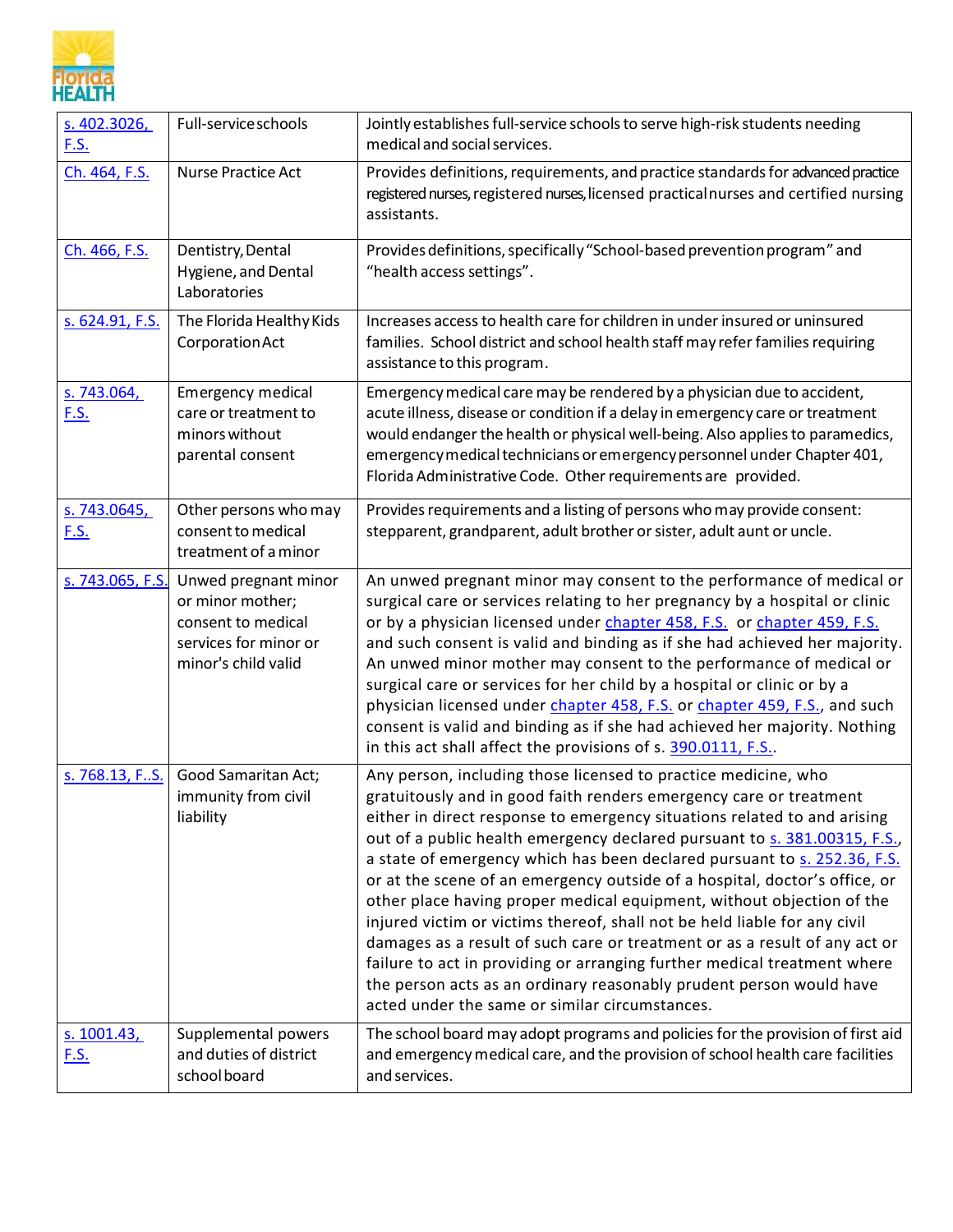

| s. 402.3026,<br><u>F.S.</u> | Full-service schools                                                                                           | Jointly establishes full-service schools to serve high-risk students needing<br>medical and social services.                                                                                                                                                                                                                                                                                                                                                                                                                                                                                                                                                                                                                                                                                                                                                                                     |
|-----------------------------|----------------------------------------------------------------------------------------------------------------|--------------------------------------------------------------------------------------------------------------------------------------------------------------------------------------------------------------------------------------------------------------------------------------------------------------------------------------------------------------------------------------------------------------------------------------------------------------------------------------------------------------------------------------------------------------------------------------------------------------------------------------------------------------------------------------------------------------------------------------------------------------------------------------------------------------------------------------------------------------------------------------------------|
| Ch. 464, F.S.               | Nurse Practice Act                                                                                             | Provides definitions, requirements, and practice standards for advanced practice<br>registered nurses, registered nurses, licensed practical nurses and certified nursing<br>assistants.                                                                                                                                                                                                                                                                                                                                                                                                                                                                                                                                                                                                                                                                                                         |
| Ch. 466, F.S.               | Dentistry, Dental<br>Hygiene, and Dental<br>Laboratories                                                       | Provides definitions, specifically "School-based prevention program" and<br>"health access settings".                                                                                                                                                                                                                                                                                                                                                                                                                                                                                                                                                                                                                                                                                                                                                                                            |
| s. 624.91, F.S.             | The Florida Healthy Kids<br>Corporation Act                                                                    | Increases access to health care for children in under insured or uninsured<br>families. School district and school health staff may refer families requiring<br>assistance to this program.                                                                                                                                                                                                                                                                                                                                                                                                                                                                                                                                                                                                                                                                                                      |
| s. 743.064,<br><u>F.S.</u>  | Emergency medical<br>care or treatment to<br>minors without<br>parental consent                                | Emergency medical care may be rendered by a physician due to accident,<br>acute illness, disease or condition if a delay in emergency care or treatment<br>would endanger the health or physical well-being. Also applies to paramedics,<br>emergency medical technicians or emergency personnel under Chapter 401,<br>Florida Administrative Code. Other requirements are provided.                                                                                                                                                                                                                                                                                                                                                                                                                                                                                                             |
| s. 743.0645,<br><u>F.S.</u> | Other persons who may<br>consent to medical<br>treatment of a minor                                            | Provides requirements and a listing of persons who may provide consent:<br>stepparent, grandparent, adult brother or sister, adult aunt or uncle.                                                                                                                                                                                                                                                                                                                                                                                                                                                                                                                                                                                                                                                                                                                                                |
| s. 743.065, F.S.            | Unwed pregnant minor<br>or minor mother;<br>consent to medical<br>services for minor or<br>minor's child valid | An unwed pregnant minor may consent to the performance of medical or<br>surgical care or services relating to her pregnancy by a hospital or clinic<br>or by a physician licensed under <i>chapter 458, F.S.</i> or <i>chapter 459, F.S.</i><br>and such consent is valid and binding as if she had achieved her majority.<br>An unwed minor mother may consent to the performance of medical or<br>surgical care or services for her child by a hospital or clinic or by a<br>physician licensed under chapter 458, F.S. or chapter 459, F.S., and such<br>consent is valid and binding as if she had achieved her majority. Nothing<br>in this act shall affect the provisions of s. 390.0111, F.S                                                                                                                                                                                             |
| s. 768.13, FS.              | Good Samaritan Act;<br>immunity from civil<br>liability                                                        | Any person, including those licensed to practice medicine, who<br>gratuitously and in good faith renders emergency care or treatment<br>either in direct response to emergency situations related to and arising<br>out of a public health emergency declared pursuant to s. 381.00315, F.S.,<br>a state of emergency which has been declared pursuant to s. 252.36, F.S.<br>or at the scene of an emergency outside of a hospital, doctor's office, or<br>other place having proper medical equipment, without objection of the<br>injured victim or victims thereof, shall not be held liable for any civil<br>damages as a result of such care or treatment or as a result of any act or<br>failure to act in providing or arranging further medical treatment where<br>the person acts as an ordinary reasonably prudent person would have<br>acted under the same or similar circumstances. |
| s. 1001.43,<br><u>F.S.</u>  | Supplemental powers<br>and duties of district<br>school board                                                  | The school board may adopt programs and policies for the provision of first aid<br>and emergency medical care, and the provision of school health care facilities<br>and services.                                                                                                                                                                                                                                                                                                                                                                                                                                                                                                                                                                                                                                                                                                               |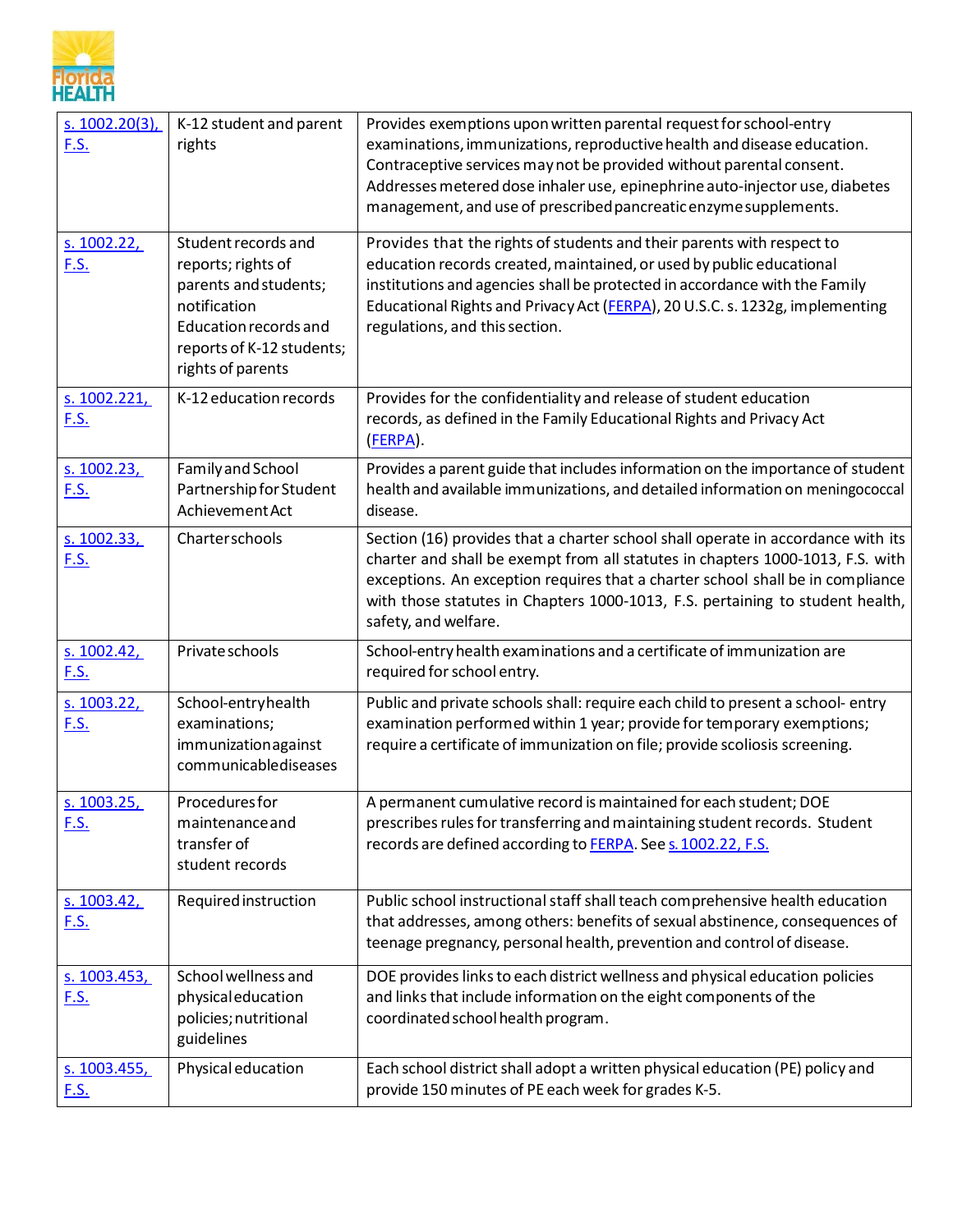

| $s. 1002.20(3)$ ,<br><u>F.S.</u> | K-12 student and parent<br>rights                                                                                                                             | Provides exemptions upon written parental request for school-entry<br>examinations, immunizations, reproductive health and disease education.<br>Contraceptive services may not be provided without parental consent.<br>Addresses metered dose inhaler use, epinephrine auto-injector use, diabetes<br>management, and use of prescribed pancreatic enzyme supplements. |
|----------------------------------|---------------------------------------------------------------------------------------------------------------------------------------------------------------|--------------------------------------------------------------------------------------------------------------------------------------------------------------------------------------------------------------------------------------------------------------------------------------------------------------------------------------------------------------------------|
| s. 1002.22,<br>F.S.              | Student records and<br>reports; rights of<br>parents and students;<br>notification<br>Education records and<br>reports of K-12 students;<br>rights of parents | Provides that the rights of students and their parents with respect to<br>education records created, maintained, or used by public educational<br>institutions and agencies shall be protected in accordance with the Family<br>Educational Rights and Privacy Act (FERPA), 20 U.S.C. s. 1232g, implementing<br>regulations, and this section.                           |
| s. 1002.221,<br><u>F.S.</u>      | K-12 education records                                                                                                                                        | Provides for the confidentiality and release of student education<br>records, as defined in the Family Educational Rights and Privacy Act<br>(FERPA).                                                                                                                                                                                                                    |
| s. 1002.23,<br><u>F.S.</u>       | Family and School<br>Partnership for Student<br>Achievement Act                                                                                               | Provides a parent guide that includes information on the importance of student<br>health and available immunizations, and detailed information on meningococcal<br>disease.                                                                                                                                                                                              |
| s. 1002.33,<br><b>F.S.</b>       | Charterschools                                                                                                                                                | Section (16) provides that a charter school shall operate in accordance with its<br>charter and shall be exempt from all statutes in chapters 1000-1013, F.S. with<br>exceptions. An exception requires that a charter school shall be in compliance<br>with those statutes in Chapters 1000-1013, F.S. pertaining to student health,<br>safety, and welfare.            |
| s. $1002.42,$<br>F.S.            | Private schools                                                                                                                                               | School-entry health examinations and a certificate of immunization are<br>required for school entry.                                                                                                                                                                                                                                                                     |
| s. $1003.22,$<br><u>F.S.</u>     | School-entryhealth<br>examinations;<br>immunizationagainst<br>communicablediseases                                                                            | Public and private schools shall: require each child to present a school- entry<br>examination performed within 1 year; provide for temporary exemptions;<br>require a certificate of immunization on file; provide scoliosis screening.                                                                                                                                 |
| s. 1003.25<br><u>F.S.</u>        | <b>Procedures for</b><br>maintenance and<br>transfer of<br>student records                                                                                    | A permanent cumulative record is maintained for each student; DOE<br>prescribes rules for transferring and maintaining student records. Student<br>records are defined according to FERPA. See s. 1002.22, F.S.                                                                                                                                                          |
| s. 1003.42,<br><u>F.S.</u>       | Required instruction                                                                                                                                          | Public school instructional staff shall teach comprehensive health education<br>that addresses, among others: benefits of sexual abstinence, consequences of<br>teenage pregnancy, personal health, prevention and control of disease.                                                                                                                                   |
| s. 1003.453,<br><u>F.S.</u>      | School wellness and<br>physicaleducation<br>policies; nutritional<br>guidelines                                                                               | DOE provides links to each district wellness and physical education policies<br>and links that include information on the eight components of the<br>coordinated school health program.                                                                                                                                                                                  |
| s. 1003.455,<br><u>F.S.</u>      | Physical education                                                                                                                                            | Each school district shall adopt a written physical education (PE) policy and<br>provide 150 minutes of PE each week for grades K-5.                                                                                                                                                                                                                                     |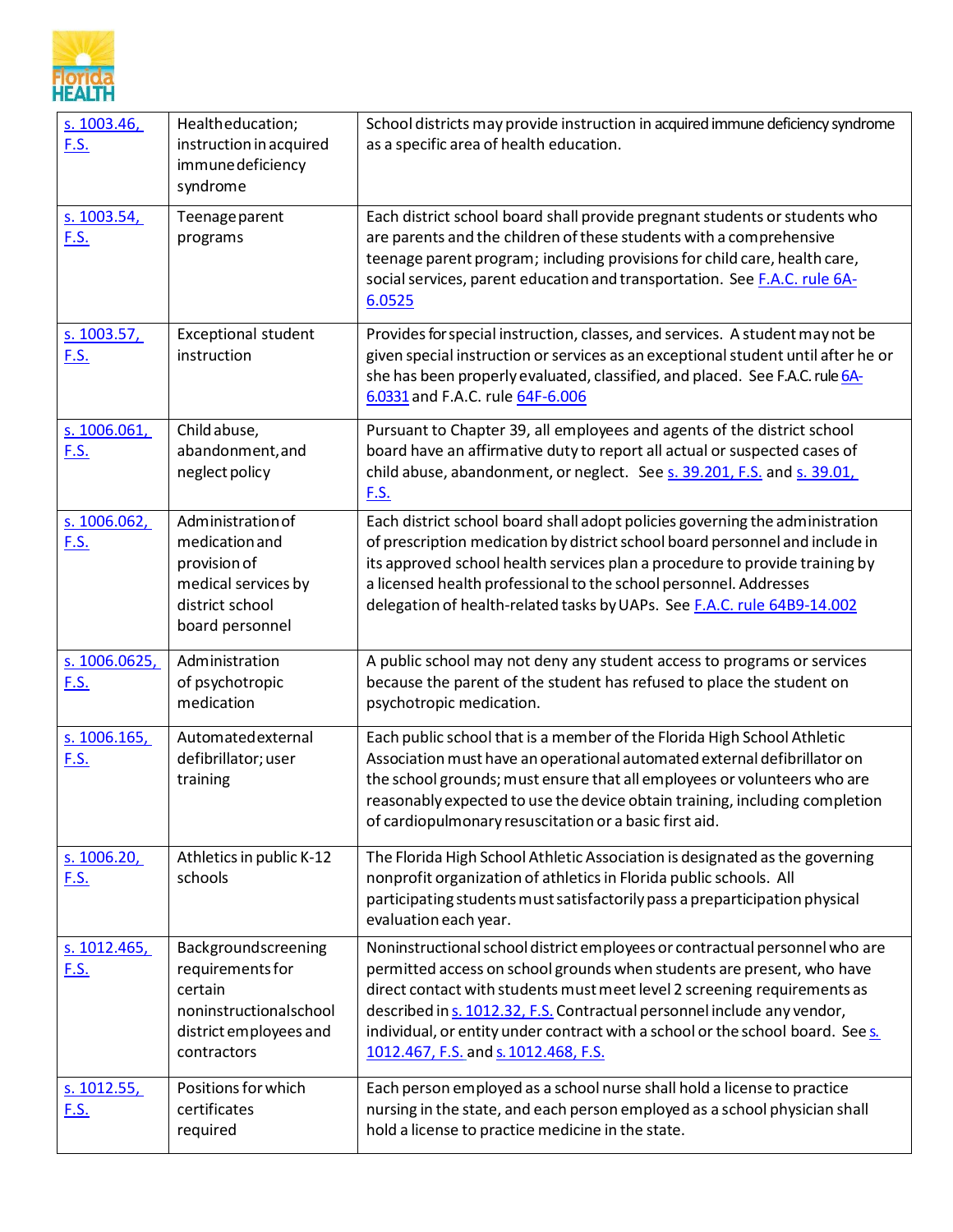

| s. 1003.46,<br><u>F.S.</u>   | Healtheducation;<br>instruction in acquired<br>immune deficiency<br>syndrome                                          | School districts may provide instruction in acquired immune deficiency syndrome<br>as a specific area of health education.                                                                                                                                                                                                                                                                                                             |
|------------------------------|-----------------------------------------------------------------------------------------------------------------------|----------------------------------------------------------------------------------------------------------------------------------------------------------------------------------------------------------------------------------------------------------------------------------------------------------------------------------------------------------------------------------------------------------------------------------------|
| s. 1003.54,<br><u>F.S.</u>   | Teenage parent<br>programs                                                                                            | Each district school board shall provide pregnant students or students who<br>are parents and the children of these students with a comprehensive<br>teenage parent program; including provisions for child care, health care,<br>social services, parent education and transportation. See F.A.C. rule 6A-<br>6.0525                                                                                                                  |
| s. 1003.57,<br><u>F.S.</u>   | <b>Exceptional student</b><br>instruction                                                                             | Provides for special instruction, classes, and services. A student may not be<br>given special instruction or services as an exceptional student until after he or<br>she has been properly evaluated, classified, and placed. See F.A.C. rule 6A-<br>6.0331 and F.A.C. rule 64F-6.006                                                                                                                                                 |
| s. 1006.061,<br>F.S.         | Child abuse,<br>abandonment, and<br>neglect policy                                                                    | Pursuant to Chapter 39, all employees and agents of the district school<br>board have an affirmative duty to report all actual or suspected cases of<br>child abuse, abandonment, or neglect. See s. 39.201, F.S. and s. 39.01,<br><u>F.S.</u>                                                                                                                                                                                         |
| s. 1006.062,<br><u>F.S.</u>  | Administration of<br>medication and<br>provision of<br>medical services by<br>district school<br>board personnel      | Each district school board shall adopt policies governing the administration<br>of prescription medication by district school board personnel and include in<br>its approved school health services plan a procedure to provide training by<br>a licensed health professional to the school personnel. Addresses<br>delegation of health-related tasks by UAPs. See F.A.C. rule 64B9-14.002                                            |
| s. 1006.0625,<br><u>F.S.</u> | Administration<br>of psychotropic<br>medication                                                                       | A public school may not deny any student access to programs or services<br>because the parent of the student has refused to place the student on<br>psychotropic medication.                                                                                                                                                                                                                                                           |
| s. 1006.165,<br><u>F.S.</u>  | Automatedexternal<br>defibrillator; user<br>training                                                                  | Each public school that is a member of the Florida High School Athletic<br>Association must have an operational automated external defibrillator on<br>the school grounds; must ensure that all employees or volunteers who are<br>reasonably expected to use the device obtain training, including completion<br>of cardiopulmonary resuscitation or a basic first aid.                                                               |
| s. 1006.20,<br><u>F.S.</u>   | Athletics in public K-12<br>schools                                                                                   | The Florida High School Athletic Association is designated as the governing<br>nonprofit organization of athletics in Florida public schools. All<br>participating students must satisfactorily pass a preparticipation physical<br>evaluation each year.                                                                                                                                                                              |
| s. 1012.465,<br><u>F.S.</u>  | Backgroundscreening<br>requirements for<br>certain<br>noninstructionalschool<br>district employees and<br>contractors | Noninstructional school district employees or contractual personnel who are<br>permitted access on school grounds when students are present, who have<br>direct contact with students must meet level 2 screening requirements as<br>described in s. 1012.32, F.S. Contractual personnel include any vendor,<br>individual, or entity under contract with a school or the school board. See s.<br>1012.467, F.S. and s. 1012.468, F.S. |
| s. 1012.55,<br><u>F.S.</u>   | Positions for which<br>certificates<br>required                                                                       | Each person employed as a school nurse shall hold a license to practice<br>nursing in the state, and each person employed as a school physician shall<br>hold a license to practice medicine in the state.                                                                                                                                                                                                                             |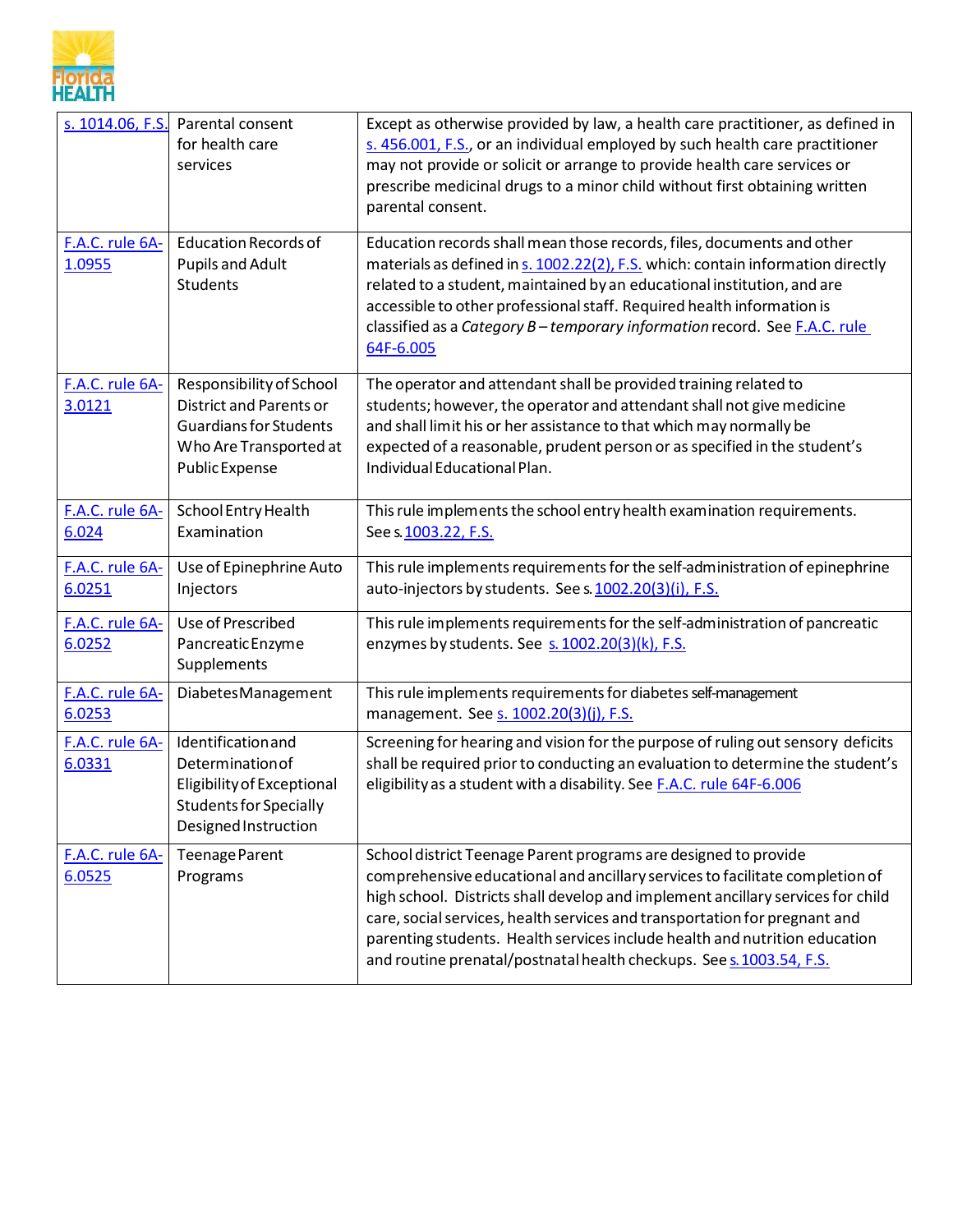

| s. 1014.06, F.S.          | Parental consent<br>for health care<br>services                                                                                                | Except as otherwise provided by law, a health care practitioner, as defined in<br>s. 456.001, F.S., or an individual employed by such health care practitioner<br>may not provide or solicit or arrange to provide health care services or<br>prescribe medicinal drugs to a minor child without first obtaining written<br>parental consent.                                                                                                                          |
|---------------------------|------------------------------------------------------------------------------------------------------------------------------------------------|------------------------------------------------------------------------------------------------------------------------------------------------------------------------------------------------------------------------------------------------------------------------------------------------------------------------------------------------------------------------------------------------------------------------------------------------------------------------|
| F.A.C. rule 6A-<br>1.0955 | <b>Education Records of</b><br><b>Pupils and Adult</b><br><b>Students</b>                                                                      | Education records shall mean those records, files, documents and other<br>materials as defined in s. 1002.22(2), F.S. which: contain information directly<br>related to a student, maintained by an educational institution, and are<br>accessible to other professional staff. Required health information is<br>classified as a Category B - temporary information record. See F.A.C. rule<br>64F-6.005                                                              |
| F.A.C. rule 6A-<br>3.0121 | Responsibility of School<br><b>District and Parents or</b><br><b>Guardians for Students</b><br>Who Are Transported at<br><b>Public Expense</b> | The operator and attendant shall be provided training related to<br>students; however, the operator and attendant shall not give medicine<br>and shall limit his or her assistance to that which may normally be<br>expected of a reasonable, prudent person or as specified in the student's<br>Individual Educational Plan.                                                                                                                                          |
| F.A.C. rule 6A-<br>6.024  | School Entry Health<br>Examination                                                                                                             | This rule implements the school entry health examination requirements.<br>See s 1003.22, F.S.                                                                                                                                                                                                                                                                                                                                                                          |
| F.A.C. rule 6A-<br>6.0251 | Use of Epinephrine Auto<br>Injectors                                                                                                           | This rule implements requirements for the self-administration of epinephrine<br>auto-injectors by students. See s. 1002.20(3)(i), F.S.                                                                                                                                                                                                                                                                                                                                 |
| F.A.C. rule 6A-<br>6.0252 | Use of Prescribed<br>Pancreatic Enzyme<br>Supplements                                                                                          | This rule implements requirements for the self-administration of pancreatic<br>enzymes by students. See s. 1002.20(3)(k), F.S.                                                                                                                                                                                                                                                                                                                                         |
| F.A.C. rule 6A-<br>6.0253 | DiabetesManagement                                                                                                                             | This rule implements requirements for diabetes self-management<br>management. See s. 1002.20(3)(j), F.S.                                                                                                                                                                                                                                                                                                                                                               |
| F.A.C. rule 6A-<br>6.0331 | Identification and<br>Determination of<br>Eligibility of Exceptional<br>Students for Specially<br>Designed Instruction                         | Screening for hearing and vision for the purpose of ruling out sensory deficits<br>shall be required prior to conducting an evaluation to determine the student's<br>eligibility as a student with a disability. See F.A.C. rule 64F-6.006                                                                                                                                                                                                                             |
| F.A.C. rule 6A-<br>6.0525 | Teenage Parent<br>Programs                                                                                                                     | School district Teenage Parent programs are designed to provide<br>comprehensive educational and ancillary services to facilitate completion of<br>high school. Districts shall develop and implement ancillary services for child<br>care, social services, health services and transportation for pregnant and<br>parenting students. Health services include health and nutrition education<br>and routine prenatal/postnatal health checkups. See s. 1003.54, F.S. |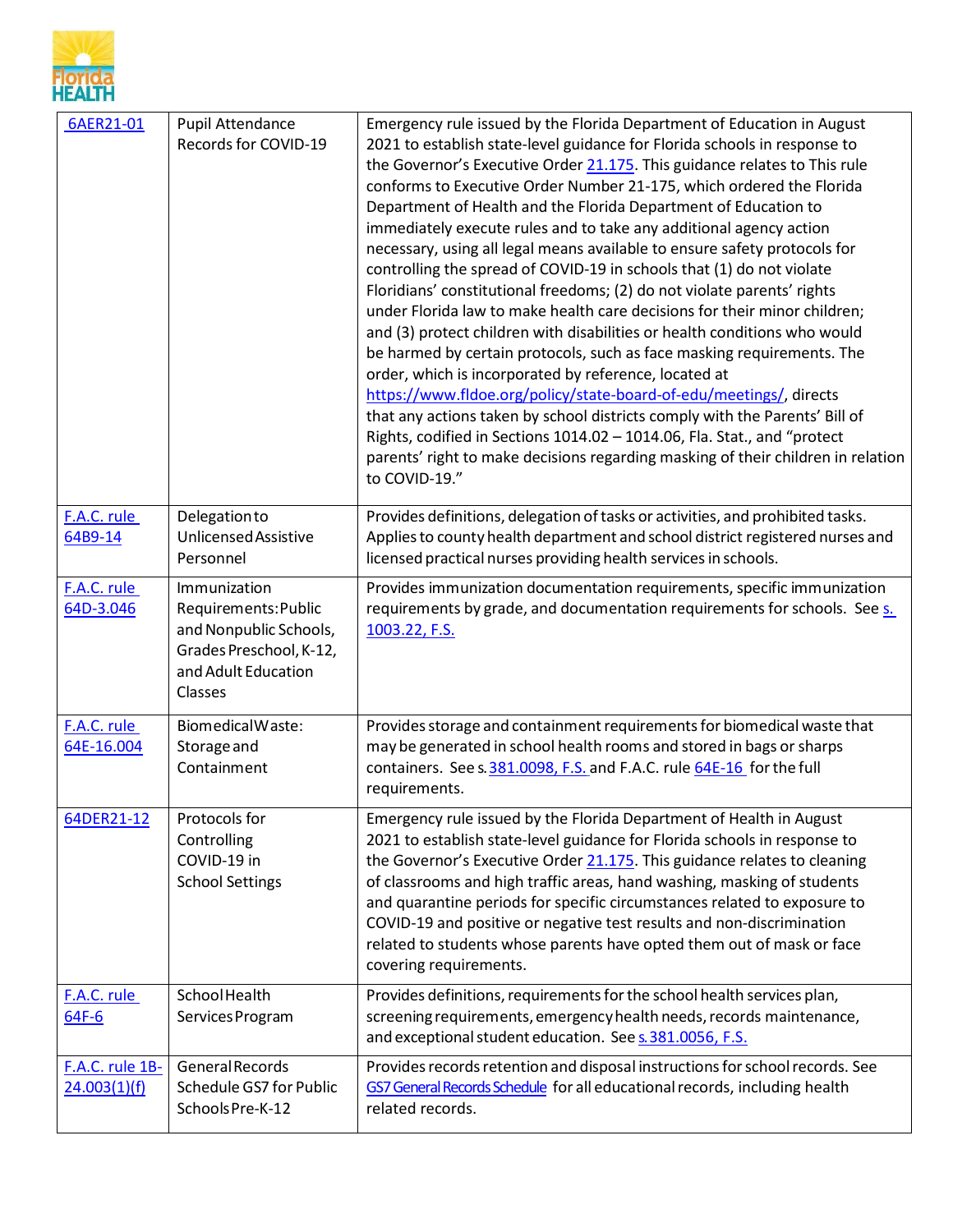

| 6AER21-01                       | <b>Pupil Attendance</b><br>Records for COVID-19                                                                             | Emergency rule issued by the Florida Department of Education in August<br>2021 to establish state-level guidance for Florida schools in response to<br>the Governor's Executive Order 21.175. This guidance relates to This rule<br>conforms to Executive Order Number 21-175, which ordered the Florida<br>Department of Health and the Florida Department of Education to<br>immediately execute rules and to take any additional agency action<br>necessary, using all legal means available to ensure safety protocols for<br>controlling the spread of COVID-19 in schools that (1) do not violate<br>Floridians' constitutional freedoms; (2) do not violate parents' rights<br>under Florida law to make health care decisions for their minor children;<br>and (3) protect children with disabilities or health conditions who would<br>be harmed by certain protocols, such as face masking requirements. The<br>order, which is incorporated by reference, located at<br>https://www.fldoe.org/policy/state-board-of-edu/meetings/, directs<br>that any actions taken by school districts comply with the Parents' Bill of<br>Rights, codified in Sections 1014.02 - 1014.06, Fla. Stat., and "protect<br>parents' right to make decisions regarding masking of their children in relation<br>to COVID-19." |
|---------------------------------|-----------------------------------------------------------------------------------------------------------------------------|-----------------------------------------------------------------------------------------------------------------------------------------------------------------------------------------------------------------------------------------------------------------------------------------------------------------------------------------------------------------------------------------------------------------------------------------------------------------------------------------------------------------------------------------------------------------------------------------------------------------------------------------------------------------------------------------------------------------------------------------------------------------------------------------------------------------------------------------------------------------------------------------------------------------------------------------------------------------------------------------------------------------------------------------------------------------------------------------------------------------------------------------------------------------------------------------------------------------------------------------------------------------------------------------------------------------------|
| F.A.C. rule<br>64B9-14          | Delegationto<br>Unlicensed Assistive<br>Personnel                                                                           | Provides definitions, delegation of tasks or activities, and prohibited tasks.<br>Applies to county health department and school district registered nurses and<br>licensed practical nurses providing health services in schools.                                                                                                                                                                                                                                                                                                                                                                                                                                                                                                                                                                                                                                                                                                                                                                                                                                                                                                                                                                                                                                                                                    |
| F.A.C. rule<br>64D-3.046        | Immunization<br>Requirements: Public<br>and Nonpublic Schools,<br>Grades Preschool, K-12,<br>and Adult Education<br>Classes | Provides immunization documentation requirements, specific immunization<br>requirements by grade, and documentation requirements for schools. See s.<br>1003.22, F.S.                                                                                                                                                                                                                                                                                                                                                                                                                                                                                                                                                                                                                                                                                                                                                                                                                                                                                                                                                                                                                                                                                                                                                 |
| F.A.C. rule<br>64E-16.004       | BiomedicalWaste:<br>Storage and<br>Containment                                                                              | Provides storage and containment requirements for biomedical waste that<br>may be generated in school health rooms and stored in bags or sharps<br>containers. See s. 381.0098, F.S. and F.A.C. rule 64E-16 for the full<br>requirements.                                                                                                                                                                                                                                                                                                                                                                                                                                                                                                                                                                                                                                                                                                                                                                                                                                                                                                                                                                                                                                                                             |
| 64DER21-12                      | Protocols for<br>Controlling<br>COVID-19 in<br><b>School Settings</b>                                                       | Emergency rule issued by the Florida Department of Health in August<br>2021 to establish state-level guidance for Florida schools in response to<br>the Governor's Executive Order 21.175. This guidance relates to cleaning<br>of classrooms and high traffic areas, hand washing, masking of students<br>and quarantine periods for specific circumstances related to exposure to<br>COVID-19 and positive or negative test results and non-discrimination<br>related to students whose parents have opted them out of mask or face<br>covering requirements.                                                                                                                                                                                                                                                                                                                                                                                                                                                                                                                                                                                                                                                                                                                                                       |
| F.A.C. rule<br>64F-6            | <b>SchoolHealth</b><br>Services Program                                                                                     | Provides definitions, requirements for the school health services plan,<br>screening requirements, emergency health needs, records maintenance,<br>and exceptional student education. See s. 381.0056, F.S.                                                                                                                                                                                                                                                                                                                                                                                                                                                                                                                                                                                                                                                                                                                                                                                                                                                                                                                                                                                                                                                                                                           |
| F.A.C. rule 1B-<br>24.003(1)(f) | <b>General Records</b><br>Schedule GS7 for Public<br>Schools Pre-K-12                                                       | Provides records retention and disposal instructions for school records. See<br>GS7 General Records Schedule for all educational records, including health<br>related records.                                                                                                                                                                                                                                                                                                                                                                                                                                                                                                                                                                                                                                                                                                                                                                                                                                                                                                                                                                                                                                                                                                                                        |